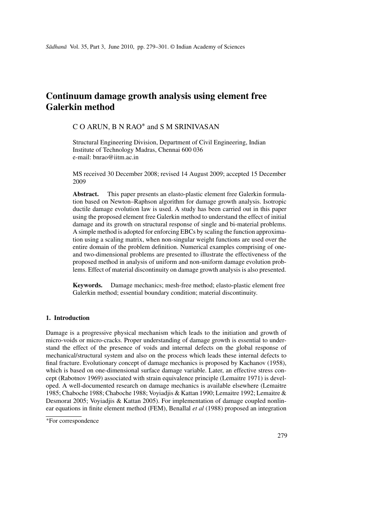# **Continuum damage growth analysis using element free Galerkin method**

# C O ARUN, B N RAO<sup>∗</sup> and S M SRINIVASAN

Structural Engineering Division, Department of Civil Engineering, Indian Institute of Technology Madras, Chennai 600 036 e-mail: bnrao@iitm.ac.in

MS received 30 December 2008; revised 14 August 2009; accepted 15 December 2009

**Abstract.** This paper presents an elasto-plastic element free Galerkin formulation based on Newton–Raphson algorithm for damage growth analysis. Isotropic ductile damage evolution law is used. A study has been carried out in this paper using the proposed element free Galerkin method to understand the effect of initial damage and its growth on structural response of single and bi-material problems. A simple method is adopted for enforcing EBCs by scaling the function approximation using a scaling matrix, when non-singular weight functions are used over the entire domain of the problem definition. Numerical examples comprising of oneand two-dimensional problems are presented to illustrate the effectiveness of the proposed method in analysis of uniform and non-uniform damage evolution problems. Effect of material discontinuity on damage growth analysis is also presented.

**Keywords.** Damage mechanics; mesh-free method; elasto-plastic element free Galerkin method; essential boundary condition; material discontinuity.

# **1. Introduction**

Damage is a progressive physical mechanism which leads to the initiation and growth of micro-voids or micro-cracks. Proper understanding of damage growth is essential to understand the effect of the presence of voids and internal defects on the global response of mechanical/structural system and also on the process which leads these internal defects to final fracture. Evolutionary concept of damage mechanics is proposed by Kachanov (1958), which is based on one-dimensional surface damage variable. Later, an effective stress concept (Rabotnov 1969) associated with strain equivalence principle (Lemaitre 1971) is developed. A well-documented research on damage mechanics is available elsewhere (Lemaitre 1985; Chaboche 1988; Chaboche 1988; Voyiadjis & Kattan 1990; Lemaitre 1992; Lemaitre & Desmorat 2005; Voyiadjis & Kattan 2005). For implementation of damage coupled nonlinear equations in finite element method (FEM), Benallal *et al* (1988) proposed an integration

<sup>∗</sup>For correspondence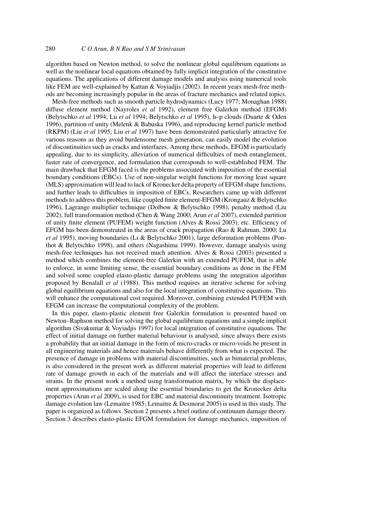algorithm based on Newton method, to solve the nonlinear global equilibrium equations as well as the nonlinear local equations obtained by fully implicit integration of the constitutive equations. The applications of different damage models and analysis using numerical tools like FEM are well-explained by Kattan & Voyiadjis (2002). In recent years mesh-free methods are becoming increasingly popular in the areas of fracture mechanics and related topics.

Mesh-free methods such as smooth particle hydrodynamics (Lucy 1977; Monaghan 1988) diffuse element method (Nayroles *et al* 1992), element free Galerkin method (EFGM) (Belytschko *et al* 1994; Lu *et al* 1994; Belytschko *et al* 1995), h–p clouds (Duarte & Oden 1996), partition of unity (Melenk & Babuska 1996), and reproducing kernel particle method (RKPM) (Liu *et al* 1995; Liu *et al* 1997) have been demonstrated particularly attractive for various reasons as they avoid burdensome mesh generation, can easily model the evolution of discontinuities such as cracks and interfaces. Among these methods, EFGM is particularly appealing, due to its simplicity, alleviation of numerical difficulties of mesh entanglement, faster rate of convergence, and formulation that corresponds to well-established FEM. The main drawback that EFGM faced is the problems associated with imposition of the essential boundary conditions (EBCs). Use of non-singular weight functions for moving least square (MLS) approximation will lead to lack of Kronecker delta property of EFGM shape functions, and further leads to difficulties in imposition of EBCs. Researchers came up with different methods to address this problem, like coupled finite element-EFGM (Krongauz & Belytschko 1996), Lagrange multiplier technique (Dolbow & Belytschko 1998), penalty method (Liu 2002), full transformation method (Chen & Wang 2000; Arun *et al* 2007), extended partition of unity finite element (PUFEM) weight function (Alves & Rossi 2003), etc. Efficiency of EFGM has been demonstrated in the areas of crack propagation (Rao & Rahman, 2000; Lu *et al* 1995), moving boundaries (Li & Belytschko 2001), large deformation problems (Ponthot & Belytschko 1998), and others (Nagashima 1999). However, damage analysis using mesh-free techniques has not received much attention. Alves & Rossi (2003) presented a method which combines the element-free Galerkin with an extended PUFEM, that is able to enforce, in some limiting sense, the essential boundary conditions as done in the FEM and solved some coupled elasto-plastic damage problems using the integration algorithm proposed by Benalall *et al* (1988). This method requires an iterative scheme for solving global equilibrium equations and also for the local integration of constitutive equations. This will enhance the computational cost required. Moreover, combining extended PUFEM with EFGM can increase the computational complexity of the problem.

In this paper, elasto-plastic element free Galerkin formulation is presented based on Newton–Raphson method for solving the global equilibrium equations and a simple implicit algorithm (Sivakumar & Voyiadjis 1997) for local integration of constitutive equations. The effect of initial damage on further material behaviour is analysed, since always there exists a probability that an initial damage in the form of micro-cracks or micro-voids be present in all engineering materials and hence materials behave differently from what is expected. The presence of damage in problems with material discontinuities, such as bimaterial problems, is also considered in the present work as different material properties will lead to different rate of damage growth in each of the materials and will affect the interface stresses and strains. In the present work a method using transformation matrix, by which the displacement approximations are scaled along the essential boundaries to get the Kronecker delta properties (Arun *et al* 2009), is used for EBC and material discontinuity treatment. Isotropic damage evolution law (Lemaitre 1985; Lemaitre & Desmorat 2005) is used in this study. The paper is organized as follows. Section 2 presents a brief outline of continuum damage theory. Section 3 describes elasto-plastic EFGM formulation for damage mechanics, imposition of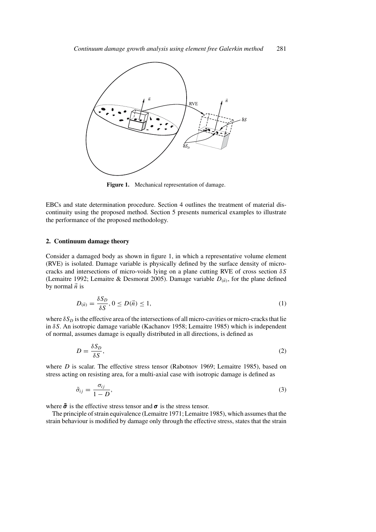

**Figure 1.** Mechanical representation of damage.

EBCs and state determination procedure. Section 4 outlines the treatment of material discontinuity using the proposed method. Section 5 presents numerical examples to illustrate the performance of the proposed methodology.

# **2. Continuum damage theory**

Consider a damaged body as shown in figure 1, in which a representative volume element (RVE) is isolated. Damage variable is physically defined by the surface density of microcracks and intersections of micro-voids lying on a plane cutting RVE of cross section  $\delta S$ (Lemaitre 1992; Lemaitre & Desmorat 2005). Damage variable  $D_{(\vec{n})}$ , for the plane defined by normal  $\vec{n}$  is

$$
D_{(\vec{n})} = \frac{\delta S_D}{\delta S}, 0 \le D(\vec{n}) \le 1,
$$
\n<sup>(1)</sup>

where  $\delta S_D$  is the effective area of the intersections of all micro-cavities or micro-cracks that lie in  $\delta S$ . An isotropic damage variable (Kachanov 1958; Lemaitre 1985) which is independent of normal, assumes damage is equally distributed in all directions, is defined as

$$
D = \frac{\delta S_D}{\delta S},\tag{2}
$$

where  $D$  is scalar. The effective stress tensor (Rabotnov 1969; Lemaitre 1985), based on stress acting on resisting area, for a multi-axial case with isotropic damage is defined as

$$
\tilde{\sigma}_{ij} = \frac{\sigma_{ij}}{1 - D},\tag{3}
$$

where  $\tilde{\sigma}$  is the effective stress tensor and  $\sigma$  is the stress tensor.

The principle of strain equivalence (Lemaitre 1971; Lemaitre 1985), which assumes that the strain behaviour is modified by damage only through the effective stress, states that the strain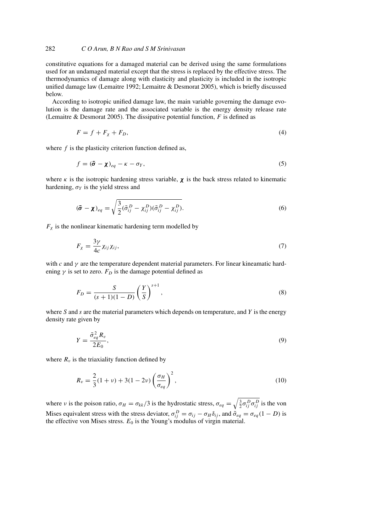constitutive equations for a damaged material can be derived using the same formulations used for an undamaged material except that the stress is replaced by the effective stress. The thermodynamics of damage along with elasticity and plasticity is included in the isotropic unified damage law (Lemaitre 1992; Lemaitre & Desmorat 2005), which is briefly discussed below.

According to isotropic unified damage law, the main variable governing the damage evolution is the damage rate and the associated variable is the energy density release rate (Lemaitre & Desmorat 2005). The dissipative potential function,  $F$  is defined as

$$
F = f + F_{\chi} + F_D,\tag{4}
$$

where  $f$  is the plasticity criterion function defined as,

$$
f = (\tilde{\boldsymbol{\sigma}} - \boldsymbol{\chi})_{eq} - \kappa - \sigma_Y,
$$
\n(5)

where  $\kappa$  is the isotropic hardening stress variable,  $\chi$  is the back stress related to kinematic hardening,  $\sigma_Y$  is the yield stress and

$$
(\tilde{\boldsymbol{\sigma}} - \boldsymbol{\chi})_{eq} = \sqrt{\frac{3}{2} (\tilde{\sigma}_{ij}^D - \chi_{ij}^D)(\tilde{\sigma}_{ij}^D - \chi_{ij}^D)}.
$$
\n(6)

 $F_{\chi}$  is the nonlinear kinematic hardening term modelled by

$$
F_{\chi} = \frac{3\gamma}{4c} \chi_{ij} \chi_{ij},\tag{7}
$$

with c and  $\gamma$  are the temperature dependent material parameters. For linear kineamatic hardening  $\gamma$  is set to zero.  $F_D$  is the damage potential defined as

$$
F_D = \frac{S}{(s+1)(1-D)} \left(\frac{Y}{S}\right)^{s+1},\tag{8}
$$

where  $S$  and  $s$  are the material parameters which depends on temperature, and  $Y$  is the energy density rate given by

$$
Y = \frac{\tilde{\sigma}_{eq}^2 R_v}{2E_0},\tag{9}
$$

where  $R_v$  is the triaxiality function defined by

$$
R_v = \frac{2}{3}(1+v) + 3(1-2v)\left(\frac{\sigma_H}{\sigma_{eq}}\right)^2,
$$
\n(10)

where v is the poison ratio,  $\sigma_H = \sigma_{kk}/3$  is the hydrostatic stress,  $\sigma_{eq} = \sqrt{\frac{3}{2} \sigma_{ij}^D \sigma_{ij}^D}$  is the von Mises equivalent stress with the stress deviator,  $\sigma_{ij}^D = \sigma_{ij} - \sigma_H \delta_{ij}$ , and  $\dot{\sigma}_{eq} = \sigma_{eq} (1 - D)$  is the effective von Mises stress.  $E_0$  is the Young's modulus of virgin material.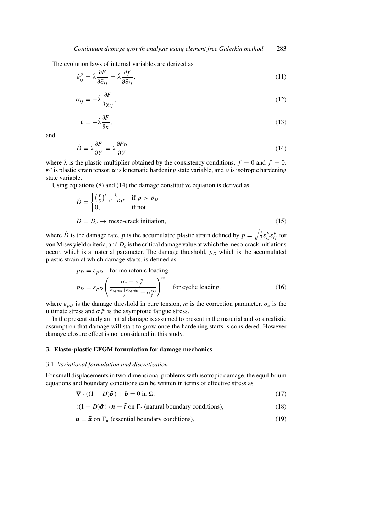The evolution laws of internal variables are derived as

$$
\dot{\varepsilon}_{ij}^p = \dot{\lambda} \frac{\partial F}{\partial \tilde{\sigma}_{ij}} = \dot{\lambda} \frac{\partial f}{\partial \tilde{\sigma}_{ij}},\tag{11}
$$

$$
\dot{\alpha}_{ij} = -\dot{\lambda}\frac{\partial F}{\partial x_{ij}},\tag{12}
$$

$$
\dot{v} = -\dot{\lambda}\frac{\partial F}{\partial \kappa},\tag{13}
$$

and

$$
\dot{D} = \dot{\lambda} \frac{\partial F}{\partial Y} = \dot{\lambda} \frac{\partial F_D}{\partial Y},\tag{14}
$$

where  $\lambda$  is the plastic multiplier obtained by the consistency conditions,  $f = 0$  and  $\dot{f} = 0$ .  $\boldsymbol{\varepsilon}^p$  is plastic strain tensor,  $\boldsymbol{\alpha}$  is kinematic hardening state variable, and  $\upsilon$  is isotropic hardening state variable.

Using equations (8) and (14) the damage constitutive equation is derived as

$$
\dot{D} = \begin{cases}\n\left(\frac{Y}{S}\right)^s \frac{\dot{\lambda}}{(1-D)}, & \text{if } p > p_D \\
0, & \text{if not}\n\end{cases}
$$
\n
$$
D = D_c \rightarrow \text{meso-crack initiation},\n\tag{15}
$$

where  $\dot{D}$  is the damage rate, p is the accumulated plastic strain defined by  $p = \sqrt{\frac{2}{3} \varepsilon_{ij}^p \varepsilon_{ij}^p}$  for von Mises yield criteria, and  $D<sub>c</sub>$  is the critical damage value at which the meso-crack initiations occur, which is a material parameter. The damage threshold,  $p<sub>D</sub>$  which is the accumulated plastic strain at which damage starts, is defined as

$$
p_D = \varepsilon_{pD} \quad \text{for monotonic loading}
$$
\n
$$
p_D = \varepsilon_{pD} \left( \frac{\sigma_u - \sigma_f^{\infty}}{\frac{\sigma_{eq \text{max}} + \sigma_{eq \text{min}}}{2} - \sigma_f^{\infty}} \right)^m \quad \text{for cyclic loading,}
$$
\n(16)

where  $\varepsilon_{pD}$  is the damage threshold in pure tension, m is the correction parameter,  $\sigma_u$  is the ultimate stress and  $\sigma_f^{\infty}$  is the asymptotic fatigue stress.

In the present study an initial damage is assumed to present in the material and so a realistic assumption that damage will start to grow once the hardening starts is considered. However damage closure effect is not considered in this study.

# **3. Elasto-plastic EFGM formulation for damage mechanics**

#### 3.1 *Variational formulation and discretization*

For small displacements in two-dimensional problems with isotropic damage, the equilibrium equations and boundary conditions can be written in terms of effective stress as

$$
\nabla \cdot ((1 - D)\tilde{\sigma}) + b = 0 \text{ in } \Omega,
$$
\n(17)

$$
((1 - D)\tilde{\sigma}) \cdot \mathbf{n} = \tilde{\mathbf{t}} \text{ on } \Gamma_t \text{ (natural boundary conditions)},
$$
\n(18)

$$
\mathbf{u} = \mathbf{\bar{u}} \text{ on } \Gamma_u \text{ (essential boundary conditions)},\tag{19}
$$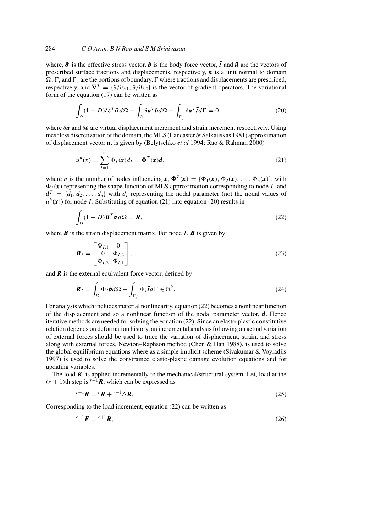where,  $\tilde{\sigma}$  is the effective stress vector, **b** is the body force vector, **f** and **u** are the vectors of prescribed surface tractions and displacements, respectively,  $\boldsymbol{n}$  is a unit normal to domain  $\Omega$ ,  $\Gamma_t$  and  $\Gamma_u$  are the portions of boundary,  $\Gamma$  where tractions and displacements are prescribed, respectively, and  $\nabla^T = {\partial/\partial x_1, \partial/\partial x_2}$  is the vector of gradient operators. The variational form of the equation (17) can be written as

$$
\int_{\Omega} (1 - D)\delta \boldsymbol{\varepsilon}^T \tilde{\boldsymbol{\sigma}} d\Omega - \int_{\Omega} \delta \boldsymbol{u}^T \boldsymbol{b} d\Omega - \int_{\Gamma_f} \delta \boldsymbol{u}^T \tilde{\boldsymbol{t}} d\Gamma = 0, \tag{20}
$$

where  $\delta u$  and  $\delta \varepsilon$  are virtual displacement increment and strain increment respectively. Using meshless discretization of the domain, the MLS (Lancaster & Salkauskas 1981) approximation of displacement vector u, is given by (Belytschko *et al* 1994; Rao & Rahman 2000)

$$
u^{h}(x) = \sum_{I=1}^{n} \Phi_{I}(\boldsymbol{x}) d_{I} = \boldsymbol{\Phi}^{T}(\boldsymbol{x}) \boldsymbol{d},
$$
\n(21)

where *n* is the number of nodes influencing  $\mathbf{x}, \mathbf{\Phi}^T(\mathbf{x}) = {\Phi_1(\mathbf{x}), \Phi_2(\mathbf{x}), \dots, \Phi_n(\mathbf{x})},$  with  $\Phi_I(x)$  representing the shape function of MLS approximation corresponding to node I, and  $d^T = \{d_1, d_2, \ldots, d_n\}$  with  $d_I$  representing the nodal parameter (not the nodal values of  $u^h(\mathbf{x})$  for node *I*. Substituting of equation (21) into equation (20) results in

$$
\int_{\Omega} (1 - D)\mathbf{B}^T \tilde{\boldsymbol{\sigma}} d\Omega = \mathbf{R},\tag{22}
$$

where  $\bf{B}$  is the strain displacement matrix. For node  $\bf{I}$ ,  $\bf{B}$  is given by

$$
\boldsymbol{B}_{I} = \begin{bmatrix} \Phi_{I,1} & 0\\ 0 & \Phi_{I,2} \\ \Phi_{I,2} & \Phi_{I,1} \end{bmatrix},\tag{23}
$$

and  $\bf{R}$  is the external equivalent force vector, defined by

$$
\boldsymbol{R}_{I} = \int_{\Omega} \Phi_{I} \boldsymbol{b} d\Omega - \int_{\Gamma_{f}} \Phi_{I} \bar{\boldsymbol{t}} d\Gamma \in \mathfrak{R}^{2}.
$$
 (24)

For analysis which includes material nonlinearity, equation (22) becomes a nonlinear function of the displacement and so a nonlinear function of the nodal parameter vector,  $\boldsymbol{d}$ . Hence iterative methods are needed for solving the equation (22). Since an elasto-plastic constitutive relation depends on deformation history, an incremental analysis following an actual variation of external forces should be used to trace the variation of displacement, strain, and stress along with external forces. Newton–Raphson method (Chen & Han 1988), is used to solve the global equilibrium equations where as a simple implicit scheme (Sivakumar & Voyiadjis 1997) is used to solve the constrained elasto-plastic damage evolution equations and for updating variables.

The load  $\mathbf{R}$ , is applied incrementally to the mechanical/structural system. Let, load at the  $(r + 1)$ th step is  $r+1$ **R**, which can be expressed as

$$
r+1\mathbf{R} = {}^{r}\mathbf{R} + {}^{r+1}\Delta \mathbf{R}.\tag{25}
$$

Corresponding to the load increment, equation (22) can be written as

$$
^{r+1}F = ^{r+1}R,\tag{26}
$$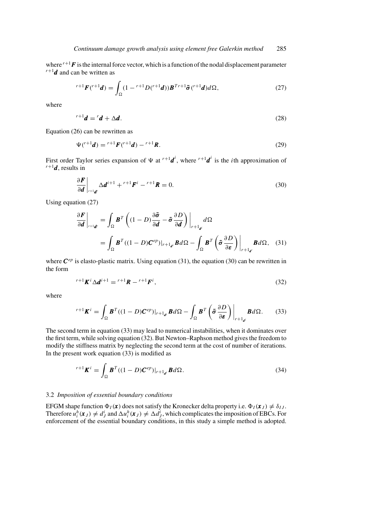where  $r+1$  **F** is the internal force vector, which is a function of the nodal displacement parameter  $r+1$  **d** and can be written as  $r+1$ *d* and can be written as

$$
{}^{r+1}F({}^{r+1}d) = \int_{\Omega} (1 - {}^{r+1}D({}^{r+1}d))\boldsymbol{B}^{Tr+1}\tilde{\boldsymbol{\sigma}}({}^{r+1}d)d\Omega, \qquad (27)
$$

where

$$
{}^{r+1}\boldsymbol{d} = {}^{r}\boldsymbol{d} + \Delta \boldsymbol{d}.\tag{28}
$$

Equation (26) can be rewritten as

$$
\Psi(^{r+1}d) = {}^{r+1}F(^{r+1}d) - {}^{r+1}R. \tag{29}
$$

First order Taylor series expansion of  $\Psi$  at  $^{r+1}d^i$ , where  $^{r+1}d^i$  is the *i*th approximation of  $^{r+1}d$  results in  $r+1$ *d*, results in

$$
\frac{\partial \boldsymbol{F}}{\partial \boldsymbol{d}} \bigg|_{r+1\boldsymbol{d}'} \Delta \boldsymbol{d}^{i+1} + r+1 \boldsymbol{F}^i - r+1 \boldsymbol{R} = 0. \tag{30}
$$

Using equation (27)

$$
\frac{\partial \boldsymbol{F}}{\partial \boldsymbol{d}}\bigg|_{r+\mathbf{1}_{\boldsymbol{d'}}} = \int_{\Omega} \boldsymbol{B}^T \left( (1-D) \frac{\partial \boldsymbol{\tilde{\sigma}}}{\partial \boldsymbol{d}} - \boldsymbol{\tilde{\sigma}} \frac{\partial D}{\partial \boldsymbol{d}} \right) \bigg|_{r+\mathbf{1}_{\boldsymbol{d'}}} d\Omega
$$
\n
$$
= \int_{\Omega} \boldsymbol{B}^T ((1-D) \boldsymbol{C}^{ep}) \big|_{r+\mathbf{1}_{\boldsymbol{d'}}} \boldsymbol{B} d\Omega - \int_{\Omega} \boldsymbol{B}^T \left( \boldsymbol{\tilde{\sigma}} \frac{\partial D}{\partial \boldsymbol{\varepsilon}} \right) \bigg|_{r+\mathbf{1}_{\boldsymbol{d'}}} \boldsymbol{B} d\Omega, \quad (31)
$$

where  $\mathbf{C}^{ep}$  is elasto-plastic matrix. Using equation (31), the equation (30) can be rewritten in the form

$$
{}^{r+1}K^i\Delta d^{i+1} = {}^{r+1}R - {}^{r+1}F^i,\tag{32}
$$

where

$$
{}^{r+1}\boldsymbol{K}^i = \int_{\Omega} \boldsymbol{B}^T((1-D)\boldsymbol{C}^{ep})|_{r+1_{\boldsymbol{d}^i}} \boldsymbol{B} d\Omega - \int_{\Omega} \boldsymbol{B}^T\left(\tilde{\boldsymbol{\sigma}}\frac{\partial D}{\partial \boldsymbol{\varepsilon}}\right)\bigg|_{r+1_{\boldsymbol{d}^i}} \boldsymbol{B} d\Omega. \tag{33}
$$

The second term in equation (33) may lead to numerical instabilities, when it dominates over the first term, while solving equation (32). But Newton–Raphson method gives the freedom to modify the stiffness matrix by neglecting the second term at the cost of number of iterations. In the present work equation (33) is modified as

$$
{}^{r+1}\boldsymbol{K}^i = \int_{\Omega} \boldsymbol{B}^T ((1-D)\boldsymbol{C}^{ep})|_{r+1_{d^i}} \boldsymbol{B} d\Omega.
$$
 (34)

#### 3.2 *Imposition of essential boundary conditions*

EFGM shape function  $\Phi_I(\mathbf{x})$  does not satisfy the Kronecker delta property i.e.  $\Phi_I(\mathbf{x}_J) \neq \delta_{IJ}$ . Therefore  $u_i^h(\mathbf{x}_J) \neq d_J^i$  and  $\Delta u_i^h(\mathbf{x}_J) \neq \Delta d_J^i$ , which complicates the imposition of EBCs. For enforcement of the essential boundary conditions, in this study a simple method is adopted.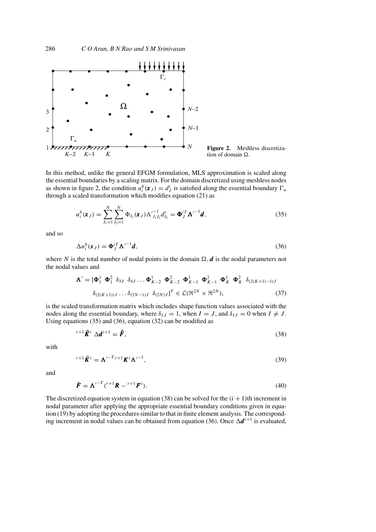

**Figure 2.** Meshless discretization of domain  $\Omega$ .

In this method, unlike the general EFGM formulation, MLS approximation is scaled along the essential boundaries by a scaling matrix. For the domain discretized using meshless nodes as shown in figure 2, the condition  $u_i^h(x_j) = d_j^i$  is satisfied along the essential boundary  $\Gamma_u$ through a scaled transformation which modifies equation (21) as

$$
u_i^h(\mathbf{x}_J) = \sum_{I_1=1}^N \sum_{I_2=1}^N \Phi_{I_1}(\mathbf{x}_J) \Lambda_{I_1 I_2}^{'-1} d_{I_2}^i = \Phi_J^{iT} \Lambda^{'-1} d,
$$
\n(35)

and so

$$
\Delta u_i^h(\mathbf{x}_j) = \mathbf{\Phi}_j^{iT} \Lambda'^{-1} \mathbf{d},\tag{36}
$$

where N is the total number of nodal points in the domain  $\Omega$ , d is the nodal parameters not the nodal values and

$$
\mathbf{\Lambda}' = [\mathbf{\Phi}_1^1 \ \mathbf{\Phi}_1^2 \ \delta_{3J} \ \delta_{4J} \dots \mathbf{\Phi}_{K-2}^1 \ \mathbf{\Phi}_{K-2}^2 \ \mathbf{\Phi}_{K-1}^1 \ \mathbf{\Phi}_{K-1}^2 \ \mathbf{\Phi}_K^1 \ \mathbf{\Phi}_K^2 \ \delta_{(2(K+1)-1)J}
$$

$$
\delta_{(2(K+1))J} \dots \delta_{(2N-1)J} \ \delta_{(2N)J}]^T \in \mathcal{L}(\mathfrak{R}^{2N} \times \mathfrak{R}^{2N}), \tag{37}
$$

is the scaled transformation matrix which includes shape function values associated with the nodes along the essential boundary, where  $\delta_{IJ} = 1$ , when  $I = J$ , and  $\delta_{IJ} = 0$  when  $I \neq J$ . Using equations (35) and (36), equation (32) can be modified as

$$
{}^{r+1}\bar{K}^i \Delta d^{i+1} = \bar{F},\tag{38}
$$

with

$$
r^{n+1}\bar{\boldsymbol{K}}^{i} = \boldsymbol{\Lambda}'^{-T}r^{n+1}\boldsymbol{K}^{i}\boldsymbol{\Lambda}'^{-1},
$$
\n(39)

and

$$
\bar{\boldsymbol{F}} = \boldsymbol{\Lambda}^{\prime - T} \boldsymbol{\ell}^{\prime + 1} \boldsymbol{R} - \boldsymbol{\ell}^{\prime + 1} \boldsymbol{F}^{i} \tag{40}
$$

The discretized equation system in equation (38) can be solved for the  $(i + 1)$ th increment in nodal parameter after applying the appropriate essential boundary conditions given in equation (19) by adopting the procedures similar to that in finite element analysis. The corresponding increment in nodal values can be obtained from equation (36). Once  $\Delta d^{i+1}$  is evaluated,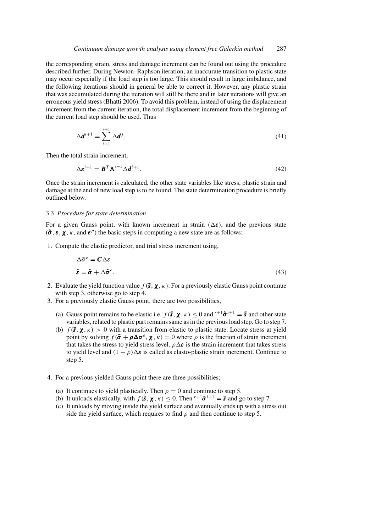the corresponding strain, stress and damage increment can be found out using the procedure described further. During Newton–Raphson iteration, an inaccurate transition to plastic state may occur especially if the load step is too large. This should result in large imbalance, and the following iterations should in general be able to correct it. However, any plastic strain that was accumulated during the iteration will still be there and in later iterations will give an erroneous yield stress (Bhatti 2006). To avoid this problem, instead of using the displacement increment from the current iteration, the total displacement increment from the beginning of the current load step should be used. Thus

$$
\Delta \mathbf{d}^{i+1} = \sum_{i=1}^{i+1} \Delta \mathbf{d}^j.
$$
 (41)

Then the total strain increment,

$$
\Delta \boldsymbol{\varepsilon}^{i+1} = \boldsymbol{B}^T \boldsymbol{\Lambda}'^{-1} \Delta \boldsymbol{d}^{i+1}.
$$
\n(42)

Once the strain increment is calculated, the other state variables like stress, plastic strain and damage at the end of new load step is to be found. The state determination procedure is briefly outlined below.

# 3.3 *Procedure for state determination*

For a given Gauss point, with known increment in strain  $(\Delta \epsilon)$ , and the previous state  $(\tilde{\sigma}, \varepsilon, \chi, \kappa, \text{ and } \varepsilon^p)$  the basic steps in computing a new state are as follows:

1. Compute the elastic predictor, and trial stress increment using,

$$
\Delta \tilde{\sigma}^e = C \Delta \varepsilon
$$
  

$$
\tilde{s} = \tilde{\sigma} + \Delta \tilde{\sigma}^e.
$$
 (43)

- 2. Evaluate the yield function value  $f(\tilde{s}, \chi, \kappa)$ . For a previously elastic Gauss point continue with step 3, otherwise go to step 4.
- 3. For a previously elastic Gauss point, there are two possibilities,
	- (a) Gauss point remains to be elastic i.e.  $f(\tilde{s}, \chi, \kappa) \leq 0$  and  $r+1\tilde{\sigma}^{i+1} = \tilde{s}$  and other state variables, related to plastic part remains same as in the previous load step. Go to step 7.
	- (b)  $f(\mathbf{\tilde{s}}, \mathbf{\chi}, \kappa) > 0$  with a transition from elastic to plastic state. Locate stress at yield point by solving  $f(\tilde{\sigma} + \rho \Delta \sigma^e, \chi, \kappa) = 0$  where  $\rho$  is the fraction of strain increment that takes the stress to yield stress level.  $\rho \Delta \varepsilon$  is the strain increment that takes stress to yield level and  $(1 - \rho)\Delta \varepsilon$  is called as elasto-plastic strain increment. Continue to step 5.
- 4. For a previous yielded Gauss point there are three possibilities;
	- (a) It continues to yield plastically. Then  $\rho = 0$  and continue to step 5.
	- (b) It unloads elastically, with  $f(\tilde{s}, \chi, \kappa) \le 0$ . Then  $r+1\tilde{\sigma}^{i+1} = \tilde{s}$  and go to step 7.
	- (c) It unloads by moving inside the yield surface and eventually ends up with a stress out side the yield surface, which requires to find  $\rho$  and then continue to step 5.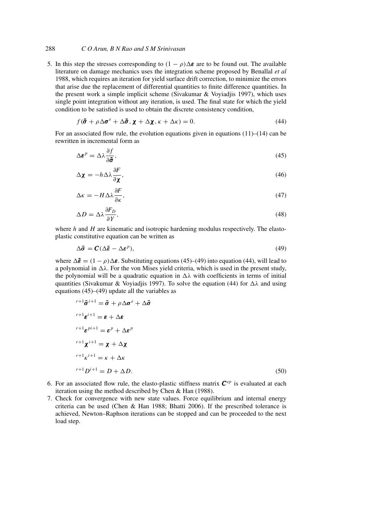# 288 *C O Arun, B N Rao and S M Srinivasan*

5. In this step the stresses corresponding to  $(1 - \rho)\Delta \varepsilon$  are to be found out. The available literature on damage mechanics uses the integration scheme proposed by Benallal *et al* 1988, which requires an iteration for yield surface drift correction, to minimize the errors that arise due the replacement of differential quantities to finite difference quantities. In the present work a simple implicit scheme (Sivakumar & Voyiadjis 1997), which uses single point integration without any iteration, is used. The final state for which the yield condition to be satisfied is used to obtain the discrete consistency condition,

$$
f(\tilde{\sigma} + \rho \Delta \sigma^e + \Delta \tilde{\sigma}, \chi + \Delta \chi, \kappa + \Delta \kappa) = 0.
$$
 (44)

For an associated flow rule, the evolution equations given in equations  $(11)$ – $(14)$  can be rewritten in incremental form as

$$
\Delta \boldsymbol{\varepsilon}^p = \Delta \lambda \frac{\partial f}{\partial \tilde{\boldsymbol{\sigma}}},\tag{45}
$$

$$
\Delta \mathbf{\chi} = -h \Delta \lambda \frac{\partial F}{\partial \mathbf{\chi}},\tag{46}
$$

$$
\Delta \kappa = -H \Delta \lambda \frac{\partial F}{\partial \kappa},\tag{47}
$$

$$
\Delta D = \Delta \lambda \frac{\partial F_D}{\partial Y},\tag{48}
$$

where  $h$  and  $H$  are kinematic and isotropic hardening modulus respectively. The elastoplastic constitutive equation can be written as

$$
\Delta \tilde{\sigma} = \mathcal{C}(\Delta \tilde{\varepsilon} - \Delta \varepsilon^p),\tag{49}
$$

where  $\Delta \bar{\epsilon} = (1 - \rho) \Delta \epsilon$ . Substituting equations (45)–(49) into equation (44), will lead to a polynomial in  $\Delta\lambda$ . For the von Mises yield criteria, which is used in the present study, the polynomial will be a quadratic equation in  $\Delta\lambda$  with coefficients in terms of initial quantities (Sivakumar & Voyiadjis 1997). To solve the equation (44) for  $\Delta\lambda$  and using equations (45)–(49) update all the variables as

$$
r+1\tilde{\sigma}^{i+1} = \tilde{\sigma} + \rho \Delta \sigma^e + \Delta \tilde{\sigma}
$$
  
\n
$$
r+1\epsilon^{i+1} = \epsilon + \Delta \epsilon
$$
  
\n
$$
r+1\epsilon^{pi+1} = \epsilon^p + \Delta \epsilon^p
$$
  
\n
$$
r+1\chi^{i+1} = \chi + \Delta \chi
$$
  
\n
$$
r+1\kappa^{i+1} = \kappa + \Delta \kappa
$$
  
\n
$$
r+1D^{i+1} = D + \Delta D.
$$
\n(50)

- 6. For an associated flow rule, the elasto-plastic stiffness matrix  $\mathbf{C}^{ep}$  is evaluated at each iteration using the method described by Chen & Han (1988).
- 7. Check for convergence with new state values. Force equilibrium and internal energy criteria can be used (Chen & Han 1988; Bhatti 2006). If the prescribed tolerance is achieved, Newton–Raphson iterations can be stopped and can be proceeded to the next load step.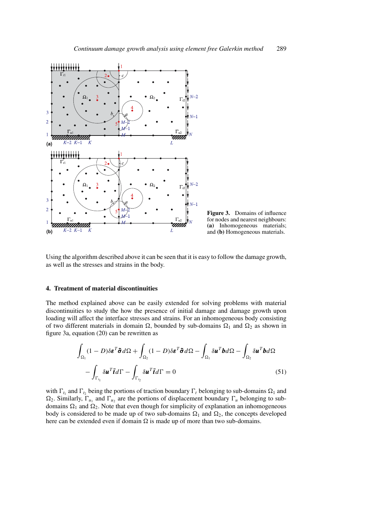

**Figure 3.** Domains of influence for nodes and nearest neighbours: **(a)** Inhomogeneous materials; and **(b)** Homogeneous materials.

Using the algorithm described above it can be seen that it is easy to follow the damage growth, as well as the stresses and strains in the body.

#### **4. Treatment of material discontinuities**

The method explained above can be easily extended for solving problems with material discontinuities to study the how the presence of initial damage and damage growth upon loading will affect the interface stresses and strains. For an inhomogeneous body consisting of two different materials in domain  $\Omega$ , bounded by sub-domains  $\Omega_1$  and  $\Omega_2$  as shown in figure 3a, equation (20) can be rewritten as

$$
\int_{\Omega_1} (1 - D)\delta \mathbf{\varepsilon}^T \tilde{\boldsymbol{\sigma}} d\Omega + \int_{\Omega_2} (1 - D)\delta \mathbf{\varepsilon}^T \tilde{\boldsymbol{\sigma}} d\Omega - \int_{\Omega_1} \delta \mathbf{u}^T \mathbf{b} d\Omega - \int_{\Omega_2} \delta \mathbf{u}^T \mathbf{b} d\Omega
$$
\n
$$
- \int_{\Gamma_{t_1}} \delta \mathbf{u}^T \tilde{\mathbf{t}} d\Gamma - \int_{\Gamma_{t_2}} \delta \mathbf{u}^T \tilde{\mathbf{t}} d\Gamma = 0 \tag{51}
$$

with  $\Gamma_{t_1}$  and  $\Gamma_{t_2}$  being the portions of traction boundary  $\Gamma_t$  belonging to sub-domains  $\Omega_1$  and  $\Omega_2$ . Similarly,  $\Gamma_{u_1}$  and  $\Gamma_{u_2}$  are the portions of displacement boundary  $\Gamma_u$  belonging to subdomains  $\Omega_1$  and  $\Omega_2$ . Note that even though for simplicity of explanation an inhomogeneous body is considered to be made up of two sub-domains  $\Omega_1$  and  $\Omega_2$ , the concepts developed here can be extended even if domain  $\Omega$  is made up of more than two sub-domains.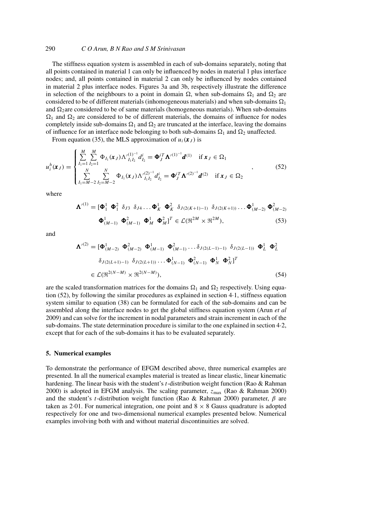## 290 *C O Arun, B N Rao and S M Srinivasan*

The stiffness equation system is assembled in each of sub-domains separately, noting that all points contained in material 1 can only be influenced by nodes in material 1 plus interface nodes; and, all points contained in material 2 can only be influenced by nodes contained in material 2 plus interface nodes. Figures 3a and 3b, respectively illustrate the difference in selection of the neighbours to a point in domain  $\Omega$ , when sub-domains  $\Omega_1$  and  $\Omega_2$  are considered to be of different materials (inhomogeneous materials) and when sub-domains  $\Omega_1$ and  $\Omega_2$  are considered to be of same materials (homogeneous materials). When sub-domains  $\Omega_1$  and  $\Omega_2$  are considered to be of different materials, the domains of influence for nodes completely inside sub-domains  $\Omega_1$  and  $\Omega_2$  are truncated at the interface, leaving the domains of influence for an interface node belonging to both sub-domains  $\Omega_1$  and  $\Omega_2$  unaffected.

From equation (35), the MLS approximation of  $u_i(\mathbf{x}_J)$  is

$$
u_i^h(\mathbf{x}_J) = \begin{cases} \sum_{I_1=1}^M \sum_{I_2=1}^M \Phi_{I_1}(\mathbf{x}_J) \Lambda'_{I_1 I_2}^{(1)^{-1}} d_{I_2}^i = \Phi_J^{iT} \Lambda'^{(1)^{-1}} d^{(1)} & \text{if } \mathbf{x}_J \in \Omega_1\\ \sum_{I_1=M-2}^N \sum_{I_2=M-2}^N \Phi_{I_1}(\mathbf{x}_J) \Lambda'_{I_1 I_2}^{(2)^{-1}} d_{I_2}^i = \Phi_J^{iT} \Lambda'^{(2)^{-1}} d^{(2)} & \text{if } \mathbf{x}_J \in \Omega_2 \end{cases},
$$
(52)

where

$$
\mathbf{\Lambda}^{\prime(1)} = [\mathbf{\Phi}_1^1 \ \mathbf{\Phi}_1^2 \ \delta_{J3} \ \delta_{J4} \dots \mathbf{\Phi}_K^1 \ \mathbf{\Phi}_K^2 \ \delta_{J(2(K+1)-1)} \ \delta_{J(2(K+1))} \dots \mathbf{\Phi}_{(M-2)}^1 \ \mathbf{\Phi}_{(M-2)}^2
$$

$$
\mathbf{\Phi}_{(M-1)}^1 \ \mathbf{\Phi}_{(M-1)}^2 \ \mathbf{\Phi}_M^1 \ \mathbf{\Phi}_M^2]^T \in \mathcal{L}(\mathbb{R}^{2M} \times \mathbb{R}^{2M}),\tag{53}
$$

and

$$
\mathbf{\Lambda}^{\prime(2)} = [\mathbf{\Phi}_{(M-2)}^{1} \ \mathbf{\Phi}_{(M-2)}^{2} \ \mathbf{\Phi}_{(M-1)}^{1} \ \mathbf{\Phi}_{(M-1)}^{2} \ \dots \delta_{J(2(L-1)-1)} \ \delta_{J(2(L-1))} \ \mathbf{\Phi}_{L}^{1} \ \mathbf{\Phi}_{L}^{2}
$$

$$
\delta_{J(2(L+1)-1)} \ \delta_{J(2(L+1))} \dots \mathbf{\Phi}_{(N-1)}^{1} \ \mathbf{\Phi}_{(N-1)}^{2} \ \mathbf{\Phi}_{N}^{1} \ \mathbf{\Phi}_{N}^{2}]^{T}
$$

$$
\in \mathcal{L}(\mathfrak{R}^{2(N-M)} \times \mathfrak{R}^{2(N-M)}), \tag{54}
$$

are the scaled transformation matrices for the domains  $\Omega_1$  and  $\Omega_2$  respectively. Using equation (52), by following the similar procedures as explained in section 4·1, stiffness equation system similar to equation (38) can be formulated for each of the sub-domains and can be assembled along the interface nodes to get the global stiffness equation system (Arun *et al* 2009) and can solve for the increment in nodal parameters and strain increment in each of the sub-domains. The state determination procedure is similar to the one explained in section 4·2, except that for each of the sub-domains it has to be evaluated separately.

#### **5. Numerical examples**

To demonstrate the performance of EFGM described above, three numerical examples are presented. In all the numerical examples material is treated as linear elastic, linear kinematic hardening. The linear basis with the student's t-distribution weight function (Rao & Rahman 2000) is adopted in EFGM analysis. The scaling parameter,  $z_{\text{max}}$  (Rao & Rahman 2000) and the student's t-distribution weight function (Rao & Rahman 2000) parameter,  $\beta$  are taken as 2.01. For numerical integration, one point and  $8 \times 8$  Gauss quadrature is adopted respectively for one and two-dimensional numerical examples presented below. Numerical examples involving both with and without material discontinuities are solved.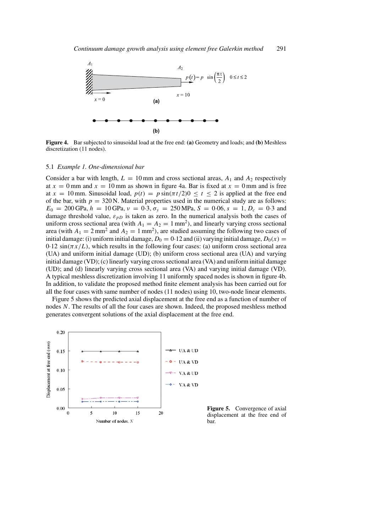

**Figure 4.** Bar subjected to sinusoidal load at the free end: **(a)** Geometry and loads; and **(b)** Meshless discretization (11 nodes).

#### 5.1 *Example 1. One-dimensional bar*

Consider a bar with length,  $L = 10$  mm and cross sectional areas,  $A_1$  and  $A_2$  respectively at  $x = 0$  mm and  $x = 10$  mm as shown in figure 4a. Bar is fixed at  $x = 0$  mm and is free at  $x = 10$  mm. Sinusoidal load,  $p(t) = p \sin(\pi t/2)0 \le t \le 2$  is applied at the free end of the bar, with  $p = 320$  N. Material properties used in the numerical study are as follows:  $E_0 = 200 \text{ GPa}, h = 10 \text{ GPa}, v = 0.3, \sigma_y = 250 \text{ MPa}, S = 0.06, s = 1, D_c = 0.3 \text{ and }$ damage threshold value,  $\varepsilon_{pD}$  is taken as zero. In the numerical analysis both the cases of uniform cross sectional area (with  $A_1 = A_2 = 1$  mm<sup>2</sup>), and linearly varying cross sectional area (with  $A_1 = 2$  mm<sup>2</sup> and  $A_2 = 1$  mm<sup>2</sup>), are studied assuming the following two cases of initial damage: (i) uniform initial damage,  $D_0 = 0.12$  and (ii) varying initial damage,  $D_0(x) =$  $0.12 \sin(\pi x/L)$ , which results in the following four cases: (a) uniform cross sectional area (UA) and uniform initial damage (UD); (b) uniform cross sectional area (UA) and varying initial damage (VD); (c) linearly varying cross sectional area (VA) and uniform initial damage (UD); and (d) linearly varying cross sectional area (VA) and varying initial damage (VD). A typical meshless discretization involving 11 uniformly spaced nodes is shown in figure 4b. In addition, to validate the proposed method finite element analysis has been carried out for all the four cases with same number of nodes (11 nodes) using 10, two-node linear elements.

Figure 5 shows the predicted axial displacement at the free end as a function of number of nodes N. The results of all the four cases are shown. Indeed, the proposed meshless method generates convergent solutions of the axial displacement at the free end.



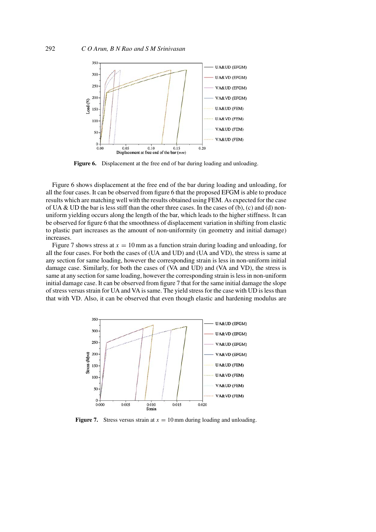

**Figure 6.** Displacement at the free end of bar during loading and unloading.

Figure 6 shows displacement at the free end of the bar during loading and unloading, for all the four cases. It can be observed from figure 6 that the proposed EFGM is able to produce results which are matching well with the results obtained using FEM. As expected for the case of UA & UD the bar is less stiff than the other three cases. In the cases of (b), (c) and (d) nonuniform yielding occurs along the length of the bar, which leads to the higher stiffness. It can be observed for figure 6 that the smoothness of displacement variation in shifting from elastic to plastic part increases as the amount of non-uniformity (in geometry and initial damage) increases.

Figure 7 shows stress at  $x = 10$  mm as a function strain during loading and unloading, for all the four cases. For both the cases of (UA and UD) and (UA and VD), the stress is same at any section for same loading, however the corresponding strain is less in non-uniform initial damage case. Similarly, for both the cases of (VA and UD) and (VA and VD), the stress is same at any section for same loading, however the corresponding strain is less in non-uniform initial damage case. It can be observed from figure 7 that for the same initial damage the slope of stress versus strain for UA and VA is same. The yield stress for the case with UD is less than that with VD. Also, it can be observed that even though elastic and hardening modulus are



**Figure 7.** Stress versus strain at  $x = 10$  mm during loading and unloading.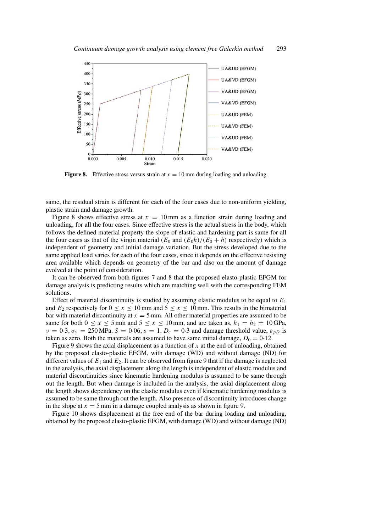

**Figure 8.** Effective stress versus strain at  $x = 10$  mm during loading and unloading.

same, the residual strain is different for each of the four cases due to non-uniform yielding, plastic strain and damage growth.

Figure 8 shows effective stress at  $x = 10$  mm as a function strain during loading and unloading, for all the four cases. Since effective stress is the actual stress in the body, which follows the defined material property the slope of elastic and hardening part is same for all the four cases as that of the virgin material  $(E_0$  and  $(E_0 h)/(E_0 + h)$  respectively) which is independent of geometry and initial damage variation. But the stress developed due to the same applied load varies for each of the four cases, since it depends on the effective resisting area available which depends on geometry of the bar and also on the amount of damage evolved at the point of consideration.

It can be observed from both figures 7 and 8 that the proposed elasto-plastic EFGM for damage analysis is predicting results which are matching well with the corresponding FEM solutions.

Effect of material discontinuity is studied by assuming elastic modulus to be equal to  $E_1$ and  $E_2$  respectively for  $0 \le x \le 10$  mm and  $5 \le x \le 10$  mm. This results in the bimaterial bar with material discontinuity at  $x = 5$  mm. All other material properties are assumed to be same for both  $0 \le x \le 5$  mm and  $5 \le x \le 10$  mm, and are taken as,  $h_1 = h_2 = 10$  GPa,  $v = 0.3$ ,  $\sigma_v = 250 \text{ MPa}$ ,  $S = 0.06$ ,  $s = 1$ ,  $D_c = 0.3$  and damage threshold value,  $\varepsilon_{pD}$  is taken as zero. Both the materials are assumed to have same initial damage,  $D_0 = 0.12$ .

Figure 9 shows the axial displacement as a function of x at the end of unloading, obtained by the proposed elasto-plastic EFGM, with damage (WD) and without damage (ND) for different values of  $E_1$  and  $E_2$ . It can be observed from figure 9 that if the damage is neglected in the analysis, the axial displacement along the length is independent of elastic modulus and material discontinuities since kinematic hardening modulus is assumed to be same through out the length. But when damage is included in the analysis, the axial displacement along the length shows dependency on the elastic modulus even if kinematic hardening modulus is assumed to be same through out the length. Also presence of discontinuity introduces change in the slope at  $x = 5$  mm in a damage coupled analysis as shown in figure 9.

Figure 10 shows displacement at the free end of the bar during loading and unloading, obtained by the proposed elasto-plastic EFGM, with damage (WD) and without damage (ND)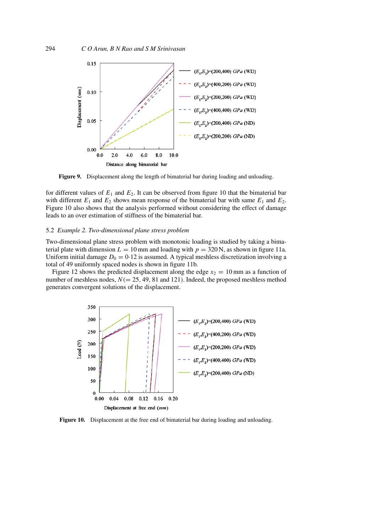

**Figure 9.** Displacement along the length of bimaterial bar during loading and unloading.

for different values of  $E_1$  and  $E_2$ . It can be observed from figure 10 that the bimaterial bar with different  $E_1$  and  $E_2$  shows mean response of the bimaterial bar with same  $E_1$  and  $E_2$ . Figure 10 also shows that the analysis performed without considering the effect of damage leads to an over estimation of stiffness of the bimaterial bar.

#### 5.2 *Example 2. Two-dimensional plane stress problem*

Two-dimensional plane stress problem with monotonic loading is studied by taking a bimaterial plate with dimension  $L = 10$  mm and loading with  $p = 320$  N, as shown in figure 11a. Uniform initial damage  $D_0 = 0.12$  is assumed. A typical meshless discretization involving a total of 49 uniformly spaced nodes is shown in figure 11b.

Figure 12 shows the predicted displacement along the edge  $x_2 = 10$  mm as a function of number of meshless nodes,  $N (= 25, 49, 81 \text{ and } 121)$ . Indeed, the proposed meshless method generates convergent solutions of the displacement.



**Figure 10.** Displacement at the free end of bimaterial bar during loading and unloading.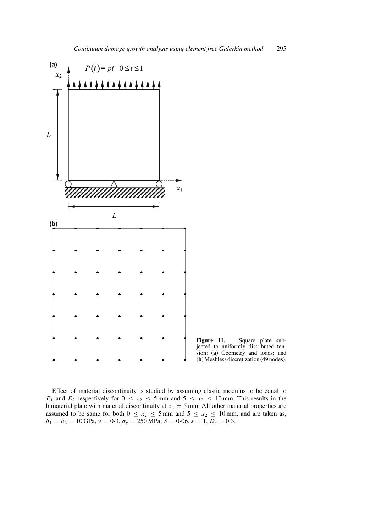

**Figure 11.** Square plate subjected to uniformly distributed tension: **(a)** Geometry and loads; and **(b)**Meshless discretization (49 nodes).

Effect of material discontinuity is studied by assuming elastic modulus to be equal to  $E_1$  and  $E_2$  respectively for  $0 \le x_2 \le 5$  mm and  $5 \le x_2 \le 10$  mm. This results in the bimaterial plate with material discontinuity at  $x_2 = 5$  mm. All other material properties are assumed to be same for both  $0 \le x_2 \le 5$  mm and  $5 \le x_2 \le 10$  mm, and are taken as,  $h_1 = h_2 = 10$  GPa,  $v = 0.3$ ,  $\sigma_y = 250$  MPa,  $S = 0.06$ ,  $s = 1$ ,  $D_c = 0.3$ .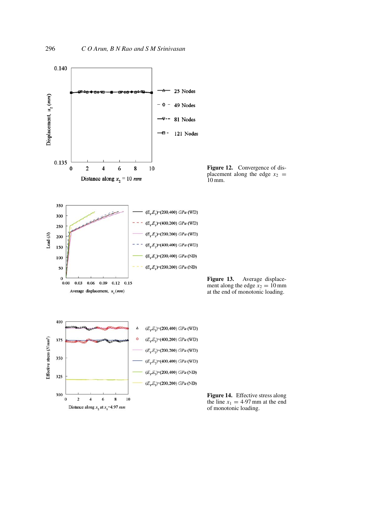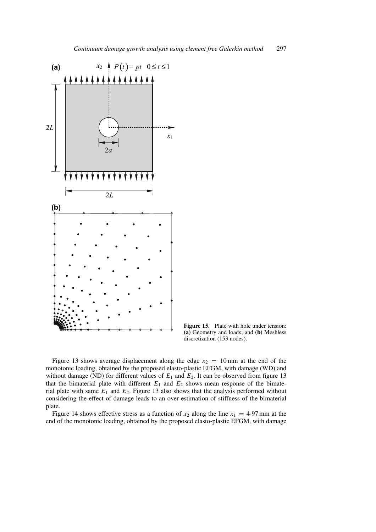

**Figure 15.** Plate with hole under tension: **(a)** Geometry and loads; and **(b)** Meshless discretization (153 nodes).

Figure 13 shows average displacement along the edge  $x_2 = 10$  mm at the end of the monotonic loading, obtained by the proposed elasto-plastic EFGM, with damage (WD) and without damage (ND) for different values of  $E_1$  and  $E_2$ . It can be observed from figure 13 that the bimaterial plate with different  $E_1$  and  $E_2$  shows mean response of the bimaterial plate with same  $E_1$  and  $E_2$ . Figure 13 also shows that the analysis performed without considering the effect of damage leads to an over estimation of stiffness of the bimaterial plate.

Figure 14 shows effective stress as a function of  $x_2$  along the line  $x_1 = 4.97$  mm at the end of the monotonic loading, obtained by the proposed elasto-plastic EFGM, with damage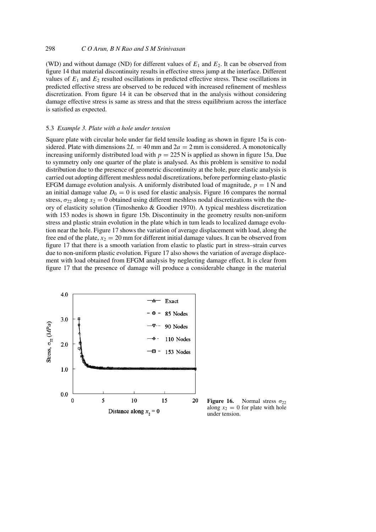(WD) and without damage (ND) for different values of  $E_1$  and  $E_2$ . It can be observed from figure 14 that material discontinuity results in effective stress jump at the interface. Different values of  $E_1$  and  $E_2$  resulted oscillations in predicted effective stress. These oscillations in predicted effective stress are observed to be reduced with increased refinement of meshless discretization. From figure 14 it can be observed that in the analysis without considering damage effective stress is same as stress and that the stress equilibrium across the interface is satisfied as expected.

#### 5.3 *Example 3. Plate with a hole under tension*

Square plate with circular hole under far field tensile loading as shown in figure 15a is considered. Plate with dimensions  $2L = 40$  mm and  $2a = 2$  mm is considered. A monotonically increasing uniformly distributed load with  $p = 225$  N is applied as shown in figure 15a. Due to symmetry only one quarter of the plate is analysed. As this problem is sensitive to nodal distribution due to the presence of geometric discontinuity at the hole, pure elastic analysis is carried out adopting different meshless nodal discretizations, before performing elasto-plastic EFGM damage evolution analysis. A uniformly distributed load of magnitude,  $p = 1$  N and an initial damage value  $D_0 = 0$  is used for elastic analysis. Figure 16 compares the normal stress,  $\sigma_{22}$  along  $x_2 = 0$  obtained using different meshless nodal discretizations with the theory of elasticity solution (Timoshenko & Goodier 1970). A typical meshless discretization with 153 nodes is shown in figure 15b. Discontinuity in the geometry results non-uniform stress and plastic strain evolution in the plate which in tum leads to localized damage evolution near the hole. Figure 17 shows the variation of average displacement with load, along the free end of the plate,  $x_2 = 20$  mm for different initial damage values. It can be observed from figure 17 that there is a smooth variation from elastic to plastic part in stress–strain curves due to non-uniform plastic evolution. Figure 17 also shows the variation of average displacement with load obtained from EFGM analysis by neglecting damage effect. It is clear from figure 17 that the presence of damage will produce a considerable change in the material



**Figure 16.** Normal stress  $\sigma_{22}$ along  $x_2 = 0$  for plate with hole under tension.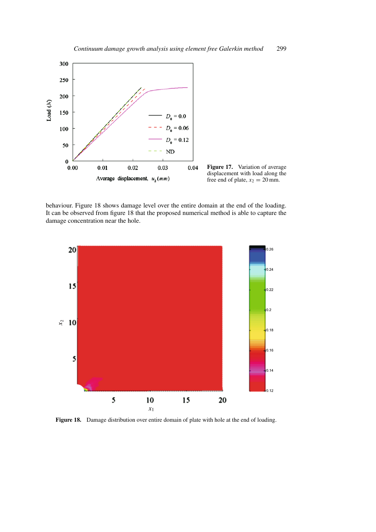

**Figure 17.** Variation of average displacement with load along the free end of plate,  $x_2 = 20$  mm.

behaviour. Figure 18 shows damage level over the entire domain at the end of the loading. It can be observed from figure 18 that the proposed numerical method is able to capture the damage concentration near the hole.



**Figure 18.** Damage distribution over entire domain of plate with hole at the end of loading.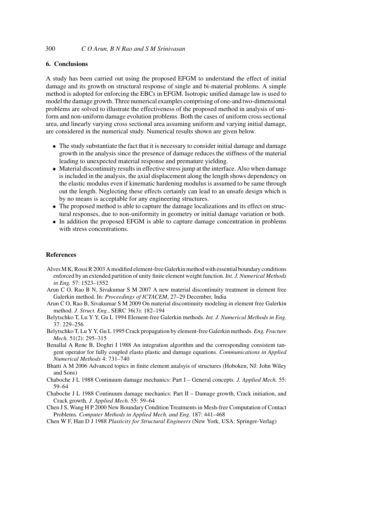# **6. Conclusions**

A study has been carried out using the proposed EFGM to understand the effect of initial damage and its growth on structural response of single and bi-material problems. A simple method is adopted for enforcing the EBCs in EFGM. Isotropic unified damage law is used to model the damage growth. Three numerical examples comprising of one-and two-dimensional problems are solved to illustrate the effectiveness of the proposed method in analysis of uniform and non-uniform damage evolution problems. Both the cases of uniform cross sectional area, and linearly varying cross sectional area assuming uniform and varying initial damage, are considered in the numerical study. Numerical results shown are given below.

- The study substantiate the fact that it is necessary to consider initial damage and damage growth in the analysis since the presence of damage reduces the stiffness of the material leading to unexpected material response and premature yielding.
- Material discontinuity results in effective stress jump at the interface. Also when damage is included in the analysis, the axial displacement along the length shows dependency on the elastic modulus even if kinematic hardening modulus is assumed to be same through out the length. Neglecting these effects certainly can lead to an unsafe design which is by no means is acceptable for any engineering structures.
- The proposed method is able to capture the damage localizations and its effect on structural responses, due to non-uniformity in geometry or initial damage variation or both.
- In addition the proposed EFGM is able to capture damage concentration in problems with stress concentrations.

#### **References**

- Alves M K, Rossi R 2003 A modified element-free Galerkin method with essential boundary conditions enforced by an extended partition of unity finite element weight function. *Int. J. Numerical Methods in Eng.* 57: 1523–1552
- Arun C O, Rao B N, Sivakumar S M 2007 A new material discontinuity treatment in element free Galerkin method. In: *Proceedings of ICTACEM*, 27–29 December, India
- Arun C O, Rao B, Sivakumar S M 2009 On material discontinuity modeling in element free Galerkin method. *J. Struct. Eng.*, SERC 36(3): 182–194
- Belytschko T, Lu Y Y, Gu L 1994 Element-free Galerkin methods. *Int. J. Numerical Methods in Eng.* 37: 229–256
- Belytschko T, Lu Y Y, Gu L 1995 Crack propagation by element-free Galerkin methods. *Eng. Fracture Mech.* 51(2): 295–315
- Benallal A Rene B, Doghri I 1988 An integration algorithm and the corresponding consistent tangent operator for fully coupled elasto plastic and damage equations. *Communications in Applied Numerical Methods* 4: 731–740
- Bhatti A M 2006 Advanced topics in finite element analsyis of structures (Hoboken, NJ: John Wiley and Sons)
- Chaboche J L 1988 Continuum damage mechanics: Part I General concepts. *J. Applied Mech.* 55: 59–64
- Chaboche J L 1988 Continuum damage mechanics: Part II Damage growth, Crack initiation, and Crack growth. *J. Applied Mech.* 55: 59–64
- Chen J S, Wang H P 2000 New Boundary Condition Treatments in Mesh-free Computation of Contact Problems. *Computer Methods in Applied Mech. and Eng.* 187: 441–468
- Chen W F, Han D J 1988 *Plasticity for Structural Engineers* (New York, USA: Springer-Verlag)